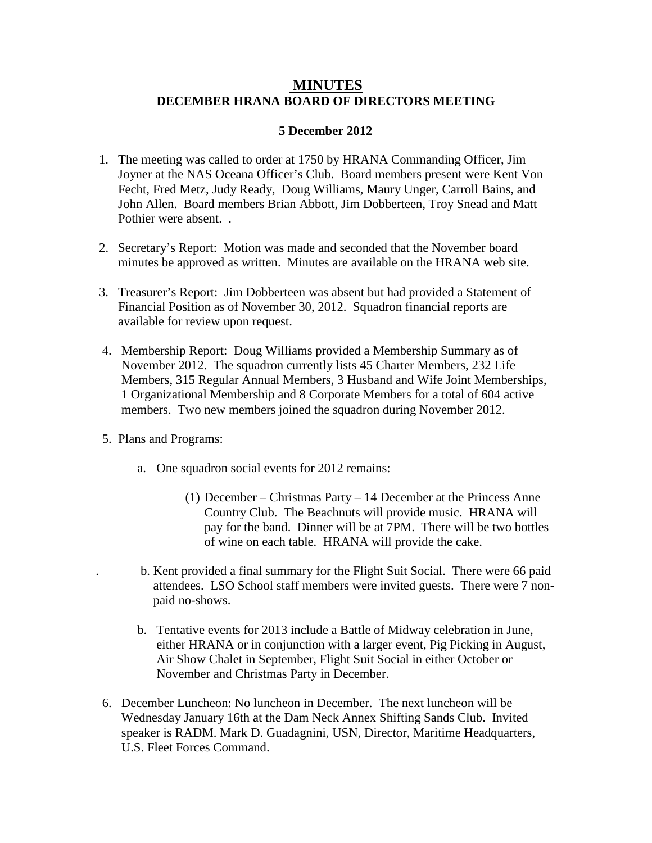## **MINUTES DECEMBER HRANA BOARD OF DIRECTORS MEETING**

## **5 December 2012**

- 1. The meeting was called to order at 1750 by HRANA Commanding Officer, Jim Joyner at the NAS Oceana Officer's Club. Board members present were Kent Von Fecht, Fred Metz, Judy Ready, Doug Williams, Maury Unger, Carroll Bains, and John Allen. Board members Brian Abbott, Jim Dobberteen, Troy Snead and Matt Pothier were absent. .
- 2. Secretary's Report: Motion was made and seconded that the November board minutes be approved as written. Minutes are available on the HRANA web site.
- 3. Treasurer's Report: Jim Dobberteen was absent but had provided a Statement of Financial Position as of November 30, 2012. Squadron financial reports are available for review upon request.
- 4. Membership Report: Doug Williams provided a Membership Summary as of November 2012. The squadron currently lists 45 Charter Members, 232 Life Members, 315 Regular Annual Members, 3 Husband and Wife Joint Memberships, 1 Organizational Membership and 8 Corporate Members for a total of 604 active members. Two new members joined the squadron during November 2012.
- 5. Plans and Programs:
	- a. One squadron social events for 2012 remains:
		- (1) December Christmas Party 14 December at the Princess Anne Country Club. The Beachnuts will provide music. HRANA will pay for the band. Dinner will be at 7PM. There will be two bottles of wine on each table. HRANA will provide the cake.
	- . b. Kent provided a final summary for the Flight Suit Social. There were 66 paid attendees. LSO School staff members were invited guests. There were 7 non paid no-shows.
	- b. Tentative events for 2013 include a Battle of Midway celebration in June, either HRANA or in conjunction with a larger event, Pig Picking in August, Air Show Chalet in September, Flight Suit Social in either October or November and Christmas Party in December.
- 6. December Luncheon: No luncheon in December. The next luncheon will be Wednesday January 16th at the Dam Neck Annex Shifting Sands Club. Invited speaker is RADM. Mark D. Guadagnini, USN, Director, Maritime Headquarters, U.S. Fleet Forces Command.